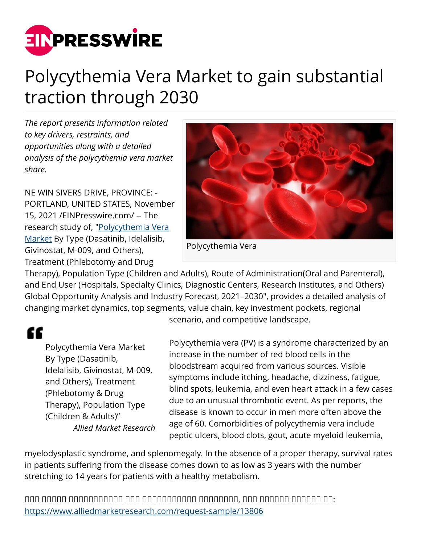

# Polycythemia Vera Market to gain substantial traction through 2030

*The report presents information related to key drivers, restraints, and opportunities along with a detailed analysis of the polycythemia vera market share.*

NE WIN SIVERS DRIVE, PROVINCE: - PORTLAND, UNITED STATES, November 15, 2021 /[EINPresswire.com/](http://www.einpresswire.com) -- The research study of, ["Polycythemia Vera](https://www.alliedmarketresearch.com/polycythemia-vera-market-A13437) [Market](https://www.alliedmarketresearch.com/polycythemia-vera-market-A13437) By Type (Dasatinib, Idelalisib, Givinostat, M-009, and Others), Treatment (Phlebotomy and Drug



Polycythemia Vera

Therapy), Population Type (Children and Adults), Route of Administration(Oral and Parenteral), and End User (Hospitals, Specialty Clinics, Diagnostic Centers, Research Institutes, and Others) Global Opportunity Analysis and Industry Forecast, 2021–2030", provides a detailed analysis of changing market dynamics, top segments, value chain, key investment pockets, regional

# ££

Polycythemia Vera Market By Type (Dasatinib, Idelalisib, Givinostat, M-009, and Others), Treatment (Phlebotomy & Drug Therapy), Population Type (Children & Adults)" *Allied Market Research* scenario, and competitive landscape.

Polycythemia vera (PV) is a syndrome characterized by an increase in the number of red blood cells in the bloodstream acquired from various sources. Visible symptoms include itching, headache, dizziness, fatigue, blind spots, leukemia, and even heart attack in a few cases due to an unusual thrombotic event. As per reports, the disease is known to occur in men more often above the age of 60. Comorbidities of polycythemia vera include peptic ulcers, blood clots, gout, acute myeloid leukemia,

myelodysplastic syndrome, and splenomegaly. In the absence of a proper therapy, survival rates in patients suffering from the disease comes down to as low as 3 years with the number stretching to 14 years for patients with a healthy metabolism.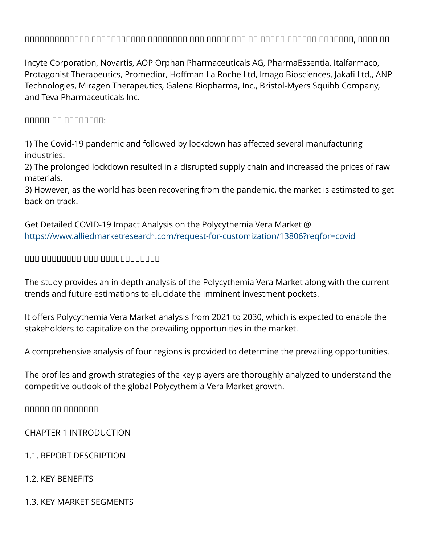## ᵀᵂᵂᵂᵂᵁᵂᵁᵂᵂᵂᵂᵁ ᵁᵂᵂᵂᵁᵂᵂᵂᵂᵂᵁ ᵁᵂᵁᵂᵃᵂᵂᵂ ᵁᵂᵁ ᵂᵂᵂᵁᵂᵂᵁᵂ ᵂᵁ ᵂᵁᵂᵂᵂ ᵂᵁᵂᵂᵁᵂ ᵂᵂᵁᵃᵁᵂᵂ, ᵂᵂᵁᵂ ᵁᵂ

Incyte Corporation, Novartis, AOP Orphan Pharmaceuticals AG, PharmaEssentia, Italfarmaco, Protagonist Therapeutics, Promedior, Hoffman-La Roche Ltd, Imago Biosciences, Jakafi Ltd., ANP Technologies, Miragen Therapeutics, Galena Biopharma, Inc., Bristol-Myers Squibb Company, and Teva Pharmaceuticals Inc.

#### ᵀᵂᵂᵂᵁ-ᵼᵽ ᵁᵁᵁᵂᵁᵂᵂᵂ:

1) The Covid-19 pandemic and followed by lockdown has affected several manufacturing industries.

2) The prolonged lockdown resulted in a disrupted supply chain and increased the prices of raw materials.

3) However, as the world has been recovering from the pandemic, the market is estimated to get back on track.

Get Detailed COVID-19 Impact Analysis on the Polycythemia Vera Market @ <https://www.alliedmarketresearch.com/request-for-customization/13806?reqfor=covid>

#### ᵀᵁᵃ ᵀᵁᵂᵁᵁᵂᵂᵂ ᵁᵂᵂ ᵁᵂᵁᵂᵁᵂᵂᵂᵁᵁᵂᵂ

The study provides an in-depth analysis of the Polycythemia Vera Market along with the current trends and future estimations to elucidate the imminent investment pockets.

It offers Polycythemia Vera Market analysis from 2021 to 2030, which is expected to enable the stakeholders to capitalize on the prevailing opportunities in the market.

A comprehensive analysis of four regions is provided to determine the prevailing opportunities.

The profiles and growth strategies of the key players are thoroughly analyzed to understand the competitive outlook of the global Polycythemia Vera Market growth.

 $\Box$ 

CHAPTER 1 INTRODUCTION

1.1. REPORT DESCRIPTION

#### 1.2. KEY BENEFITS

1.3. KEY MARKET SEGMENTS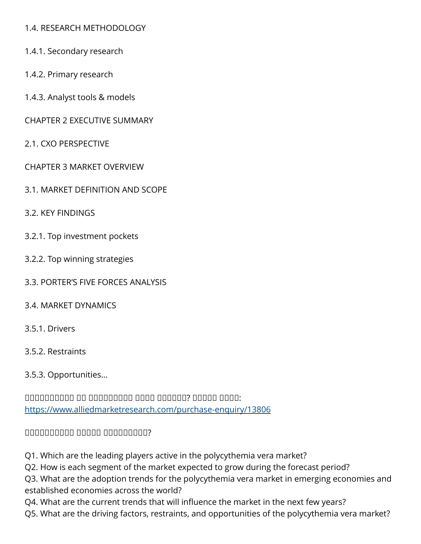#### 1.4. RESEARCH METHODOLOGY

- 1.4.1. Secondary research
- 1.4.2. Primary research
- 1.4.3. Analyst tools & models
- CHAPTER 2 EXECUTIVE SUMMARY
- 2.1. CXO PERSPECTIVE
- CHAPTER 3 MARKET OVERVIEW
- 3.1. MARKET DEFINITION AND SCOPE
- 3.2. KEY FINDINGS
- 3.2.1. Top investment pockets
- 3.2.2. Top winning strategies
- 3.3. PORTER'S FIVE FORCES ANALYSIS
- 3.4. MARKET DYNAMICS
- 3.5.1. Drivers
- 3.5.2. Restraints
- 3.5.3. Opportunities…

 $\Box$ <https://www.alliedmarketresearch.com/purchase-enquiry/13806>

#### ᵀᵂᵁᵂᵂᵁᵂᵂᵂᵃ ᵀᵂᵂᵁᵁ ᵁᵂᵁᵂᵂᵂᵂᵂᵂ?

Q1. Which are the leading players active in the polycythemia vera market?

Q2. How is each segment of the market expected to grow during the forecast period?

Q3. What are the adoption trends for the polycythemia vera market in emerging economies and established economies across the world?

Q4. What are the current trends that will influence the market in the next few years?

Q5. What are the driving factors, restraints, and opportunities of the polycythemia vera market?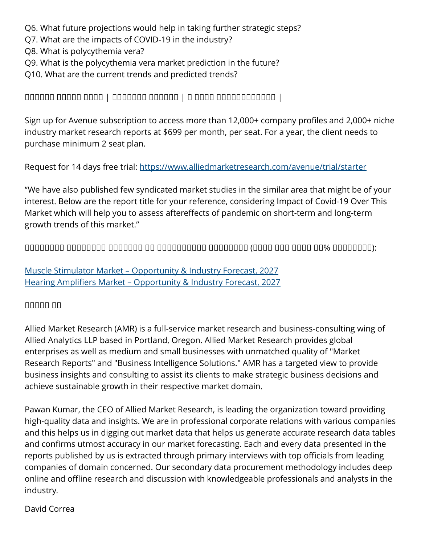Q6. What future projections would help in taking further strategic steps?

Q7. What are the impacts of COVID-19 in the industry?

Q8. What is polycythemia vera?

Q9. What is the polycythemia vera market prediction in the future?

Q10. What are the current trends and predicted trends?

# ᵀᵂᵁᵂᵂᵁ ᵀᵁᵂᵂᵁ ᵀᵂᵁᵂ | ᵀᵂᵁᵂᵁᵂᵃ ᵀᵁᵁᵁᵂᵂ | ᵼ ᵁᵁᵁᵂ ᵁᵂᵁᵂᵁᵂᵂᵂᵂᵂᵂᵂ |

Sign up for Avenue subscription to access more than 12,000+ company profiles and 2,000+ niche industry market research reports at \$699 per month, per seat. For a year, the client needs to purchase minimum 2 seat plan.

Request for 14 days free trial:<https://www.alliedmarketresearch.com/avenue/trial/starter>

"We have also published few syndicated market studies in the similar area that might be of your interest. Below are the report title for your reference, considering Impact of Covid-19 Over This Market which will help you to assess aftereffects of pandemic on short-term and long-term growth trends of this market."

 $\Box$ 

[Muscle Stimulator Market – Opportunity & Industry Forecast, 2027](https://www.alliedmarketresearch.com/muscle-stimulator-market-A11192) [Hearing Amplifiers Market – Opportunity & Industry Forecast, 2027](https://www.alliedmarketresearch.com/hearing-amplifiers-market-A10990)

## ᵀᵁᵂᵂᵂ ᵁᵂ

Allied Market Research (AMR) is a full-service market research and business-consulting wing of Allied Analytics LLP based in Portland, Oregon. Allied Market Research provides global enterprises as well as medium and small businesses with unmatched quality of "Market Research Reports" and "Business Intelligence Solutions." AMR has a targeted view to provide business insights and consulting to assist its clients to make strategic business decisions and achieve sustainable growth in their respective market domain.

Pawan Kumar, the CEO of Allied Market Research, is leading the organization toward providing high-quality data and insights. We are in professional corporate relations with various companies and this helps us in digging out market data that helps us generate accurate research data tables and confirms utmost accuracy in our market forecasting. Each and every data presented in the reports published by us is extracted through primary interviews with top officials from leading companies of domain concerned. Our secondary data procurement methodology includes deep online and offline research and discussion with knowledgeable professionals and analysts in the industry.

#### David Correa